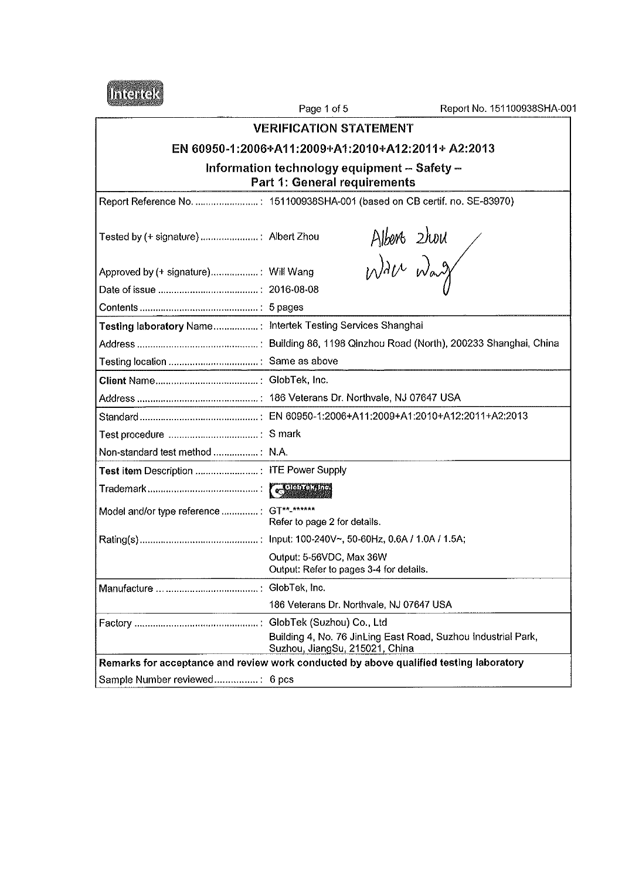

Page 1 of 5 **VERIFICATION STATEMENT** 

## EN 60950-1:2006+A11:2009+A1:2010+A12:2011+ A2:2013

# Information technology equipment – Safety –<br>Part 1: General requirements

|                                                             | Report Reference No.  : 151100938SHA-001 (based on CB certif. no. SE-83970)                     |
|-------------------------------------------------------------|-------------------------------------------------------------------------------------------------|
|                                                             | Alberts 2hou<br>Wall Way                                                                        |
| Approved by (+ signature): Will Wang                        |                                                                                                 |
|                                                             |                                                                                                 |
|                                                             |                                                                                                 |
| Testing laboratory Name: Intertek Testing Services Shanghai |                                                                                                 |
|                                                             |                                                                                                 |
|                                                             |                                                                                                 |
|                                                             |                                                                                                 |
|                                                             |                                                                                                 |
|                                                             |                                                                                                 |
| Test procedure  : S mark                                    |                                                                                                 |
| Non-standard test method  N.A.                              |                                                                                                 |
|                                                             |                                                                                                 |
|                                                             |                                                                                                 |
| Model and/or type reference : GT**-******                   | Refer to page 2 for details.                                                                    |
|                                                             |                                                                                                 |
|                                                             | Output: 5-56VDC, Max 36W<br>Output: Refer to pages 3-4 for details.                             |
|                                                             |                                                                                                 |
|                                                             | 186 Veterans Dr. Northvale, NJ 07647 USA                                                        |
|                                                             |                                                                                                 |
|                                                             | Building 4, No. 76 JinLing East Road, Suzhou Industrial Park,<br>Suzhou, JiangSu, 215021, China |
|                                                             | Remarks for acceptance and review work conducted by above qualified testing laboratory          |
| Sample Number reviewed: 6 pcs                               |                                                                                                 |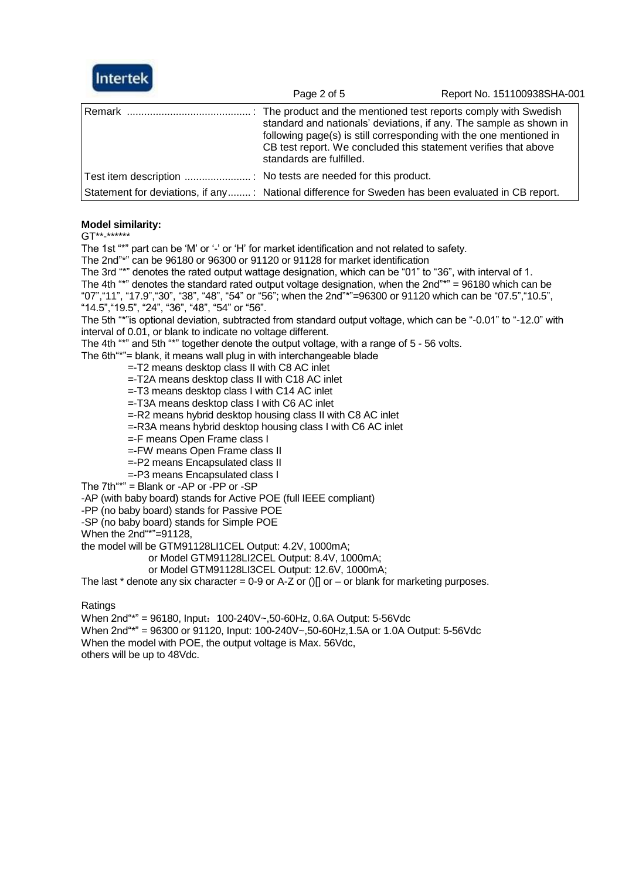

|                                                                                                   | Page 2 of 5              | Report No. 151100938SHA-001                                                                                                                                                                                 |
|---------------------------------------------------------------------------------------------------|--------------------------|-------------------------------------------------------------------------------------------------------------------------------------------------------------------------------------------------------------|
|                                                                                                   | standards are fulfilled. | standard and nationals' deviations, if any. The sample as shown in<br>following page(s) is still corresponding with the one mentioned in<br>CB test report. We concluded this statement verifies that above |
|                                                                                                   |                          |                                                                                                                                                                                                             |
| Statement for deviations, if any: National difference for Sweden has been evaluated in CB report. |                          |                                                                                                                                                                                                             |

#### **Model similarity:**

GT\*\*-\*\*\*\*\*\*

The 1st "\*" part can be 'M' or '-' or 'H' for market identification and not related to safety.

The 2nd"\*" can be 96180 or 96300 or 91120 or 91128 for market identification

The 3rd "\*" denotes the rated output wattage designation, which can be "01" to "36", with interval of 1. The 4th "\*" denotes the standard rated output voltage designation, when the 2nd"\*" = 96180 which can be "07","11", "17.9","30", "38", "48", "54" or "56"; when the 2nd"\*"=96300 or 91120 which can be "07.5","10.5", "14.5","19.5", "24", "36", "48", "54" or "56".

The 5th "\*"is optional deviation, subtracted from standard output voltage, which can be "-0.01" to "-12.0" with interval of 0.01, or blank to indicate no voltage different.

The 4th "\*" and 5th "\*" together denote the output voltage, with a range of 5 - 56 volts.

The 6th"\*"= blank, it means wall plug in with interchangeable blade

- =-T2 means desktop class II with C8 AC inlet
- =-T2A means desktop class II with C18 AC inlet
- =-T3 means desktop class I with C14 AC inlet
- =-T3A means desktop class I with C6 AC inlet
- =-R2 means hybrid desktop housing class II with C8 AC inlet
- =-R3A means hybrid desktop housing class I with C6 AC inlet
- =-F means Open Frame class I
- =-FW means Open Frame class II
- =-P2 means Encapsulated class II
- =-P3 means Encapsulated class I
- The 7th"\*" = Blank or -AP or -PP or -SP

-AP (with baby board) stands for Active POE (full IEEE compliant)

-PP (no baby board) stands for Passive POE

-SP (no baby board) stands for Simple POE

When the 2nd"\*"=91128,

the model will be GTM91128LI1CEL Output: 4.2V, 1000mA;

or Model GTM91128LI2CEL Output: 8.4V, 1000mA;

or Model GTM91128LI3CEL Output: 12.6V, 1000mA;

The last  $*$  denote any six character = 0-9 or A-Z or ()[] or – or blank for marketing purposes.

**Ratings** 

When 2nd"\*" = 96180, Input: 100-240V~,50-60Hz, 0.6A Output: 5-56Vdc When 2nd"\*" = 96300 or 91120, Input: 100-240V~,50-60Hz,1.5A or 1.0A Output: 5-56Vdc When the model with POE, the output voltage is Max. 56Vdc, others will be up to 48Vdc.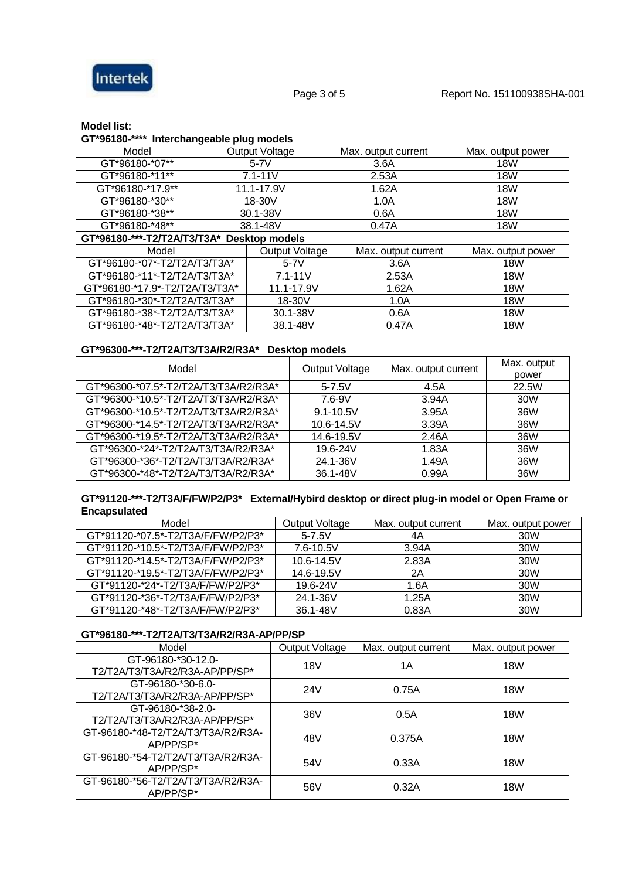

#### **Model list:**

**GT\*96180-\*\*\*\* Interchangeable plug models**

| ־טטו טט<br><b>Interentally capital plug incuess</b> |  |                       |                     |                   |
|-----------------------------------------------------|--|-----------------------|---------------------|-------------------|
| Model                                               |  | <b>Output Voltage</b> | Max. output current | Max. output power |
| GT*96180-*07**                                      |  | $5-7V$                | 3.6A                | 18W               |
| GT*96180-*11**                                      |  | $7.1 - 11V$           | 2.53A               | 18W               |
| GT*96180-*17.9**                                    |  | 11.1-17.9V            | 1.62A               | 18W               |
| GT*96180-*30**                                      |  | 18-30V                | 1.0A                | 18W               |
| GT*96180-*38**                                      |  | 30.1-38V              | 0.6A                | <b>18W</b>        |
| GT*96180-*48**                                      |  | 38.1-48V              | 0.47A               | 18W               |
| GT*96180-***-T2/T2A/T3/T3A* Desktop models          |  |                       |                     |                   |
| Model                                               |  | Output Voltage        | Max. output current | Max. output power |
| GT*96180-*07*-T2/T2A/T3/T3A*                        |  | $5-7V$                | 3.6A                | 18W               |

| GI^96180-^07^-12/12A/13/13A^   | $5 - 7V$    | 3.6A  | <b>18W</b> |
|--------------------------------|-------------|-------|------------|
| GT*96180-*11*-T2/T2A/T3/T3A*   | $7.1 - 11V$ | 2.53A | 18W        |
| GT*96180-*17.9*-T2/T2A/T3/T3A* | 11.1-17.9V  | 1.62A | 18W        |
| GT*96180-*30*-T2/T2A/T3/T3A*   | 18-30V      | 1.0A  | 18W        |
| GT*96180-*38*-T2/T2A/T3/T3A*   | 30.1-38V    | 0.6A  | 18W        |
| GT*96180-*48*-T2/T2A/T3/T3A*   | 38.1-48V    | 0.47A | 18W        |

### **GT\*96300-\*\*\*-T2/T2A/T3/T3A/R2/R3A\* Desktop models**

| Model                                 | Output Voltage | Max. output current | Max. output<br>power |
|---------------------------------------|----------------|---------------------|----------------------|
| GT*96300-*07.5*-T2/T2A/T3/T3A/R2/R3A* | $5 - 7.5V$     | 4.5A                | 22.5W                |
| GT*96300-*10.5*-T2/T2A/T3/T3A/R2/R3A* | 7.6-9V         | 3.94A               | 30W                  |
| GT*96300-*10.5*-T2/T2A/T3/T3A/R2/R3A* | $9.1 - 10.5V$  | 3.95A               | 36W                  |
| GT*96300-*14.5*-T2/T2A/T3/T3A/R2/R3A* | 10.6-14.5V     | 3.39A               | 36W                  |
| GT*96300-*19.5*-T2/T2A/T3/T3A/R2/R3A* | 14.6-19.5V     | 2.46A               | 36W                  |
| GT*96300-*24*-T2/T2A/T3/T3A/R2/R3A*   | 19.6-24V       | 1.83A               | 36W                  |
| GT*96300-*36*-T2/T2A/T3/T3A/R2/R3A*   | 24.1-36V       | 1.49A               | 36W                  |
| GT*96300-*48*-T2/T2A/T3/T3A/R2/R3A*   | 36.1-48V       | 0.99A               | 36W                  |

#### **GT\*91120-\*\*\*-T2/T3A/F/FW/P2/P3\* External/Hybird desktop or direct plug-in model or Open Frame or Encapsulated**

| Model                              | Output Voltage | Max. output current | Max. output power |
|------------------------------------|----------------|---------------------|-------------------|
| GT*91120-*07.5*-T2/T3A/F/FW/P2/P3* | $5 - 7.5V$     | 4A                  | 30W               |
| GT*91120-*10.5*-T2/T3A/F/FW/P2/P3* | 7.6-10.5V      | 3.94A               | 30W               |
| GT*91120-*14.5*-T2/T3A/F/FW/P2/P3* | 10.6-14.5V     | 2.83A               | 30W               |
| GT*91120-*19.5*-T2/T3A/F/FW/P2/P3* | 14.6-19.5V     | 2A                  | 30W               |
| GT*91120-*24*-T2/T3A/F/FW/P2/P3*   | 19.6-24V       | 1.6A                | 30W               |
| GT*91120-*36*-T2/T3A/F/FW/P2/P3*   | 24.1-36V       | 1.25A               | 30W               |
| GT*91120-*48*-T2/T3A/F/FW/P2/P3*   | 36.1-48V       | 0.83A               | 30W               |

#### **GT\*96180-\*\*\*-T2/T2A/T3/T3A/R2/R3A-AP/PP/SP**

| Model                                                | <b>Output Voltage</b> | Max. output current | Max. output power |
|------------------------------------------------------|-----------------------|---------------------|-------------------|
| GT-96180-*30-12.0-<br>T2/T2A/T3/T3A/R2/R3A-AP/PP/SP* | 18V                   | 1Α                  | 18W               |
| GT-96180-*30-6.0-<br>T2/T2A/T3/T3A/R2/R3A-AP/PP/SP*  | 24V                   | 0.75A               | 18W               |
| GT-96180-*38-2.0-<br>T2/T2A/T3/T3A/R2/R3A-AP/PP/SP*  | 36V                   | 0.5A                | 18W               |
| GT-96180-*48-T2/T2A/T3/T3A/R2/R3A-<br>AP/PP/SP*      | 48V                   | 0.375A              | 18W               |
| GT-96180-*54-T2/T2A/T3/T3A/R2/R3A-<br>AP/PP/SP*      | 54V                   | 0.33A               | 18W               |
| GT-96180-*56-T2/T2A/T3/T3A/R2/R3A-<br>AP/PP/SP*      | 56V                   | 0.32A               | <b>18W</b>        |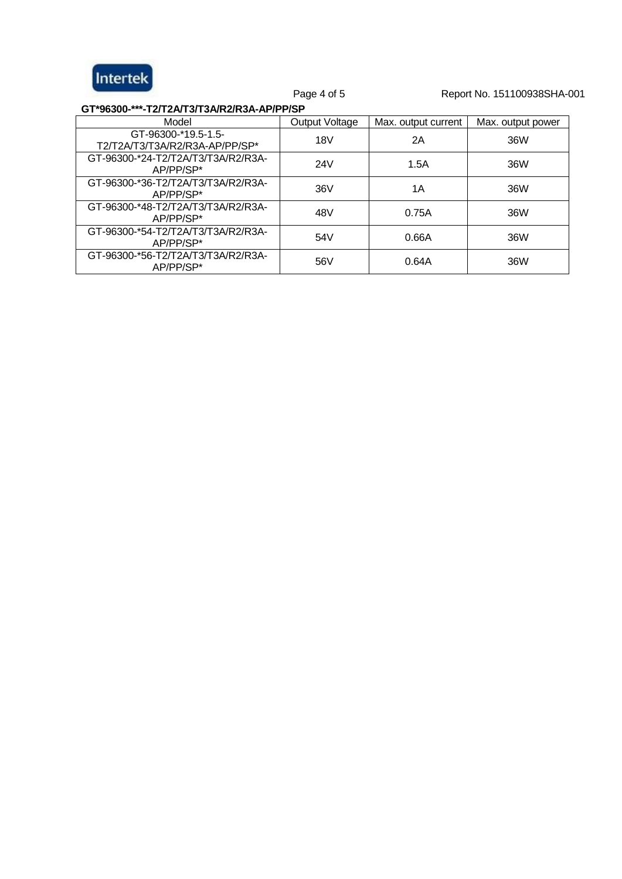

Page 4 of 5 Report No. 151100938SHA-001

**GT\*96300-\*\*\*-T2/T2A/T3/T3A/R2/R3A-AP/PP/SP**

| Model                                                 | <b>Output Voltage</b> | Max. output current | Max. output power |
|-------------------------------------------------------|-----------------------|---------------------|-------------------|
| GT-96300-*19.5-1.5-<br>T2/T2A/T3/T3A/R2/R3A-AP/PP/SP* | 18V                   | 2Α                  | 36W               |
| GT-96300-*24-T2/T2A/T3/T3A/R2/R3A-<br>AP/PP/SP*       | 24V                   | 1.5A                | 36W               |
| GT-96300-*36-T2/T2A/T3/T3A/R2/R3A-<br>AP/PP/SP*       | 36V                   | 1Α                  | 36W               |
| GT-96300-*48-T2/T2A/T3/T3A/R2/R3A-<br>AP/PP/SP*       | 48V                   | 0.75A               | 36W               |
| GT-96300-*54-T2/T2A/T3/T3A/R2/R3A-<br>AP/PP/SP*       | 54V                   | 0.66A               | 36W               |
| GT-96300-*56-T2/T2A/T3/T3A/R2/R3A-<br>AP/PP/SP*       | 56V                   | 0.64A               | 36W               |